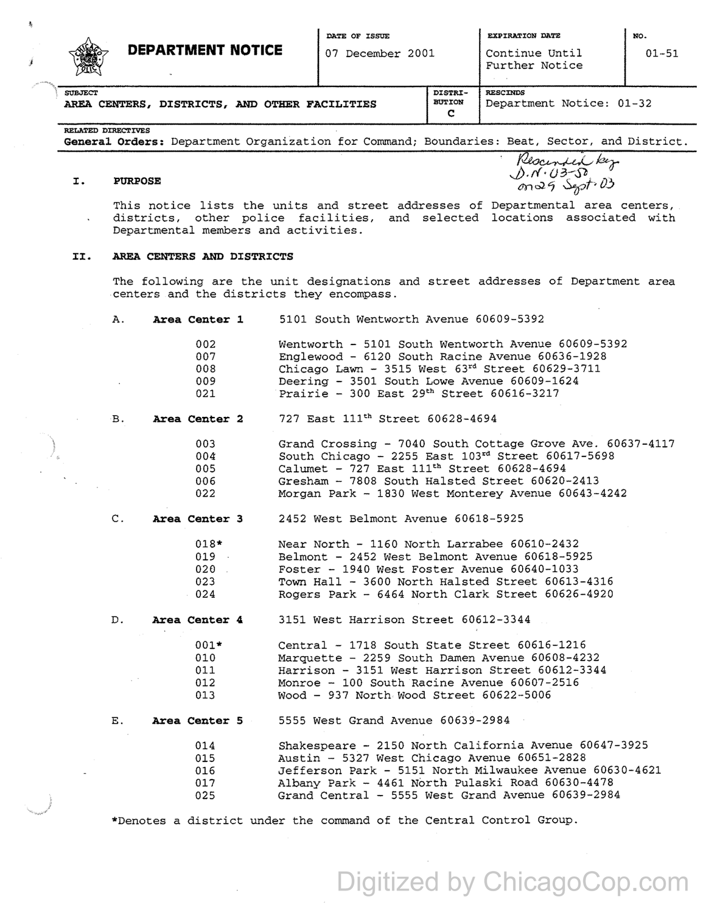

## **DEPARTMENT NOTICE**

07 December 2001

Continue Until Further Notice 01-51

|                |  | AREA CENTERS, DISTRICTS, AND OTHER FACILIT |  |  |  |  |
|----------------|--|--------------------------------------------|--|--|--|--|
| <b>SUBJECT</b> |  |                                            |  |  |  |  |

**c** 

RELATED DIRECTIVES

**General Orders:** Department Organization for Command; Boundaries: Beat, Sector, and District.

## **I. PURPOSE**

Beat, Sector, and Dis<br>Rescended key J).rf· *03-Sb. 0*   $(m \triangleleft 4)$  Sept. 03

This notice lists the units and street addresses of Departmental area centers, districts, other police facilities, and selected locations associated with Departmental members and activities.

## II. **AREA CENTERS AND DISTRICTS**

The following are the unit designations and street addresses of Department area centers and the districts they encompass.

A. **Area Center 1** 5101 South Wentworth Avenue 60609-5392

| 002. | Wentworth - 5101 South Wentworth Avenue 60609-5392     |
|------|--------------------------------------------------------|
| 007  | Englewood - 6120 South Racine Avenue 60636-1928        |
| 008  | Chicago Lawn - 3515 West $63^{rd}$ Street $60629-3711$ |
| 009  | Deering - 3501 South Lowe Avenue 60609-1624            |
| 021  | Prairie - 300 East $29th$ Street 60616-3217            |

B. **Area Center 2**  727 East 111<sup>th</sup> Street 60628-4694

> 003 004: 005 006 022 Grand Crossing - 7040 South Cottage Grove Ave. 60637-4117 South Chicago -  $2255$  East  $103^{rd}$  Street  $60617 - 5698$ Calumet - 727 East lllth Street 60628-4694 Gresham - 7808 South Halsted Street 60620-2413 Morgan Park - 1830 West Monterey Avenue 60643-4242

c. **Area Center 3**  2452 West Belmont Avenue 60618-5925

> 018\* 019 020 023 024 Near North - 1160 North Larrabee 60610-2432 Belmont - 2452 West Belmont Avenue 60618-5925 Foster - 1940 West Foster Avenue 60640-1033 Town Hall - 3600 North Halsted Street 60613-4316 Rogers Park - 6464 North Clark Street 60626-4920

D. **Area Center 4.**  3151 West Harrison Street 60612-3344

> Central - 1718 South State Street 60616-1216 Marquette - 2259 South Damen Avenue 60608-4232 Harrison - 3151 West Harrison Street 60612-3344 Monroe - 100 South Racine Avenue 60607-2516 Wood - 937 North Wood Street 60622-5006

E. **Area Center 5**  5555 West Grand Avenue 60639-2984

> 014 015 016 017 025 Shakespeare - 2150 North California Avenue 60647-3925 Austin - 5327 West Chicago Avenue 60651-2828 Jefferson Park - 5151 North Milwaukee Avenue 60630-4621 Albany Park - 4461 North Pulaski Road 60630-4478 Grand Central - 5555 west Grand Avenue 60639-2984

\*Denotes a district under the command of the Central Control Group.

Digitized by ChicagoCop.com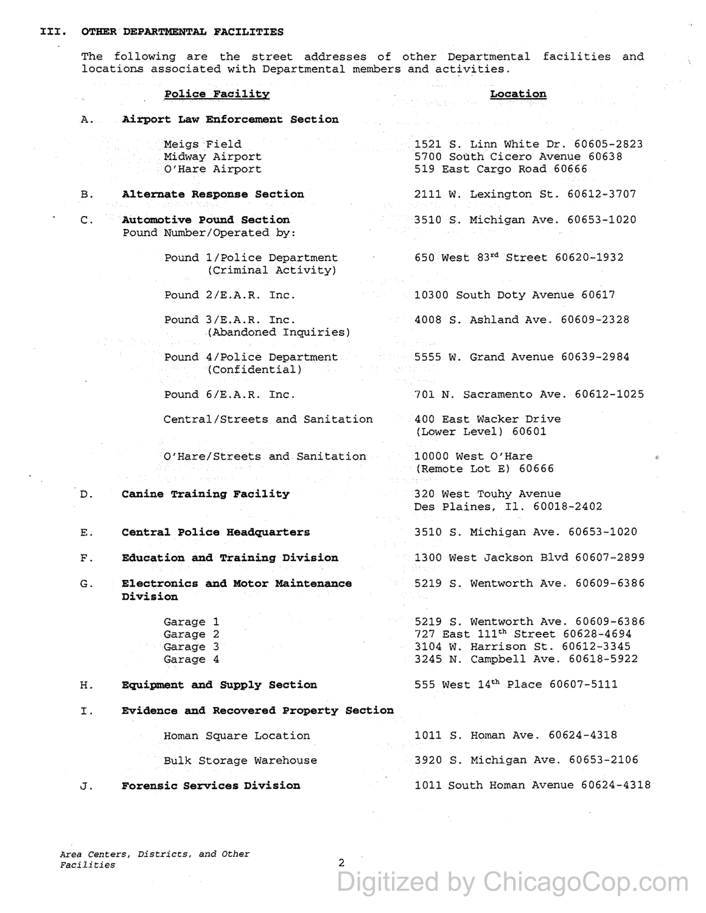The following are the street addresses of other Departmental facilities and locations associated with Departmental members and activities.

**Police Facility**  A. **Airport Law Enforcement Section**  B. c. D. E. F. G. H. Meigs Field Midway Airport O'Hare Airport **Alternate Response Section Automotive Pound Section**  Pound Number/Operated by: Pound 1/Police Department (Criminal Activity) Pound 2/E.A.R. Inc. Pound 3/E.A.R. Inc . . (Abandoned Inquiries) Pound 4/Police Department (Confidential) Pound 6/E.A.R. Inc. Central/Streets and Sanitation O'Hare/Streets and Sanitation **Canine Training Facility Central Police Headquarters Education and Training Division Electronics and Motor Maintenance Division**  Garage 1 Garage 2 Garage 3 Garage 4 **Equipment and Supply Section**  I. **Evidence and Recovered Property Section**  Homan Square Location Bulk Storage warehouse J. **Forensic Services Division Location**  1521 S. Linn White Dr. 60605-2823 5700 South Cicero Avenue 60638 519 East Cargo Road 60666 2111 w. Lexington St. 60612-3707 3510 s. Michigan Ave. 60653-1020 650 west 83~ Street 60620-1932 10300 South Doty Avenue 60617 4008 S. Ashland Ave. 60609-2328 5555 w. Grand Avenue 60639-2984 701 N. Sacramento Ave. 60612-1025 400 East Wacker Drive (Lower Level) 60601 10000 West O'Hare (Remote Lot E) 60666 320 West Touhy Avenue Des Plaines, Il. 60018-2402 3510 s. Michigan Ave. 60653-1020 1300 West Jackson Blvd 60607-2899 5219 S. Wentworth Ave. 60609-6386 5219 S. Wentworth Ave. 60609-6386 727 East lllth Street 60628-4694 3104 W. Harrison St. 60612-3345 3245 N. Campbell Ave. 60618-5922 555 West 14th Place 60607-5111 1011 S. Homan Ave. 60624-4318 3920 S. Michigan Ave. 60653-2106 1011 South Homan Avenue 60624-4318

*Area centers, Districts, and Other*   $Facilities$ 

# Digitized by ChicagoCop.com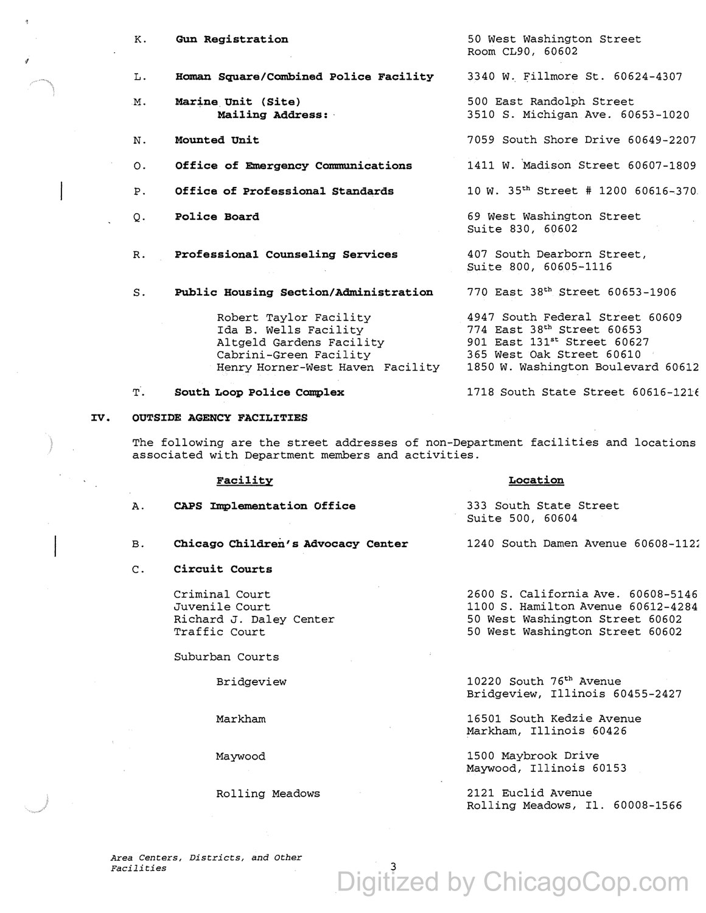- K. **Gun Registration**
- $T_{\perp}$ . **Homan Square/Combined Police Facility**
- M. **Marine.Unit (Site) Mailing Address:**

N. **Mounted Unit** 

*1* 

- o. **Office of Emergency Communications**
- P. **Office of Professional Standards**
- $\Omega$ . **Police Board**
- R. **Professional Counseling Services**
- s. **Public Housing Section/Administration**

Robert Taylor Facility Ida B. Wells Facility Altgeld Gardens Facility Cabrini-Green Facility Henry Horner-West Haven Facility 1850 W. Washington Boulevard 60612

T. **South Loop Police Complex** 

### IV. **OUTSIDE AGENCY FACILITIES**

The following are the street addresses of non-Department facilities and locations associated with Department members and activities.

### **Facility**

A. **CAPS Implementation Office** 

- B. **Chicago Children's Advocacy Center**
- c. **Circuit Courts**

Criminal Court Juvenile Court Richard J. Daley Center Traffic Court

Suburban Courts

Bridgeview

Markham

Maywood

Rolling Meadows

50 West Washington Street Room CL90, 60602

3340 W. Fillmore St. 60624-4307

500 East Randolph Street 3510 S. Michigan Ave. 60653-1020

7059 South Shore Drive 60649-2207

1411 W. 'Madison Street 60607-1809

10 W. 35~ Street # 1200 60616~370

69 West Washington Street Suite 830, 60602

407 South Dearborn Street, Suite 800, 60605-1116

770 East 38th Street 60653-1906

4947 South Federal Street 60609 774 East 38~ Street 60653 901 East 131st Street 60627 365 West Oak Street 60610

1718 South State Street 60616-121E

**Location** 

Suite 500, 60604

333 South State Street

2600 S. California Ave. 60608-5146 1100 S. Hamilton Avenue 60612-4284 50 West Washington Street 60602 50 West Washington Street 60602

1240 South Damen Avenue 60608-1121

10220 South 75th Avenue Bridgeview, Illinois 60455-2427

16501 South Kedzie Avenue Markham, Illinois 60426

1500 Maybrook Drive Maywood, Illinois 60153

Digitized by ChicagoCop.com

2121 Euclid Avenue Rolling Meadows, Il. 60008-1566

*Area Centers, Districts, and Other Facilities* 3